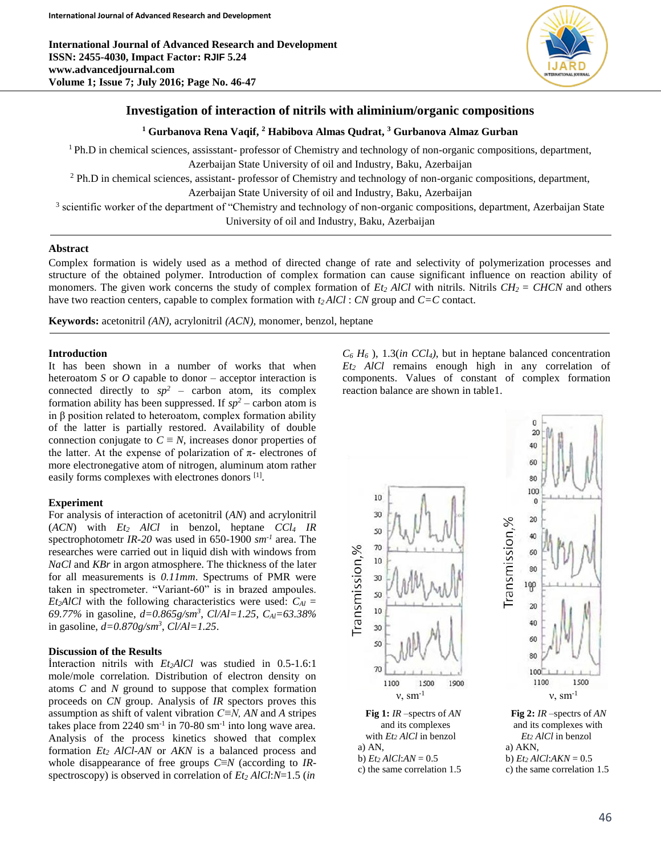

# **Investigation of interaction of nitrils with aliminium/organic compositions**

## **<sup>1</sup> Gurbanova Rena Vaqif, <sup>2</sup> Habibova Almas Qudrat, <sup>3</sup> Gurbanova Almaz Gurban**

 $1$  Ph.D in chemical sciences, assisstant- professor of Chemistry and technology of non-organic compositions, department, Azerbaijan State University of oil and Industry, Baku, Azerbaijan

<sup>2</sup> Ph.D in chemical sciences, assistant- professor of Chemistry and technology of non-organic compositions, department, Azerbaijan State University of oil and Industry, Baku, Azerbaijan

<sup>3</sup> scientific worker of the department of "Chemistry and technology of non-organic compositions, department, Azerbaijan State University of oil and Industry, Baku, Azerbaijan

## **Abstract**

Complex formation is widely used as a method of directed change of rate and selectivity of polymerization processes and structure of the obtained polymer. Introduction of complex formation can cause significant influence on reaction ability of monomers. The given work concerns the study of complex formation of  $Et_2$  *AlCl* with nitrils. Nitrils  $CH_2 = CHCN$  and others have two reaction centers, capable to complex formation with *t2 AlCl* : *CN* group and *C=C* contact.

**Keywords:** acetonitril *(AN),* acrylonitril *(ACN),* monomer, benzol, heptane

## **Introduction**

It has been shown in a number of works that when heteroatom *S* or *O* capable to donor – acceptor interaction is connected directly to  $sp^2$  – carbon atom, its complex formation ability has been suppressed. If  $sp^2$  – carbon atom is in β position related to heteroatom, complex formation ability of the latter is partially restored. Availability of double connection conjugate to  $C \equiv N$ , increases donor properties of the latter. At the expense of polarization of  $\pi$ - electrones of more electronegative atom of nitrogen, aluminum atom rather easily forms complexes with electrones donors [1].

#### **Experiment**

For analysis of interaction of acetonitril (*AN*) and acrylonitril (*ACN*) with *Et<sup>2</sup> AlCl* in benzol, heptane *CCl<sup>4</sup> IR* spectrophotometr *IR-20* was used in 650-1900 *sm-1* area. The researches were carried out in liquid dish with windows from *NaCl* and *KBr* in argon atmosphere. The thickness of the later for all measurements is *0.11mm*. Spectrums of PMR were taken in spectrometer. "Variant-60" is in brazed ampoules. *Et*<sub>2</sub>*AlCl* with the following characteristics were used:  $C_{Al}$  = *69.77%* in gasoline, *d=0.865g/sm<sup>3</sup>* , *Cl/Al=1.25*, *CAl=63.38%* in gasoline, *d=0.870g/sm<sup>3</sup>* , *Cl/Al=1.25*.

#### **Discussion of the Results**

İnteraction nitrils with *Et2AlCl* was studied in 0.5-1.6:1 mole/mole correlation. Distribution of electron density on atoms *C* and *N* ground to suppose that complex formation proceeds on *CN* group. Analysis of *IR* spectors proves this assumption as shift of valent vibration *C≡N, AN* and *A* stripes takes place from  $2240 \text{ sm}^{-1}$  in 70-80 sm<sup>-1</sup> into long wave area. Analysis of the process kinetics showed that complex formation *Et<sup>2</sup> AlCl-AN* or *AKN* is a balanced process and whole disappearance of free groups *C*≡*N* (according to *IR*spectroscopy) is observed in correlation of *Et<sup>2</sup> AlCl*:*N*=1.5 (*in* 

 $C_6$   $H_6$ ), 1.3(*in CCl<sub>4</sub>*), but in heptane balanced concentration *Et<sup>2</sup> AlCl* remains enough high in any correlation of components. Values of constant of complex formation reaction balance are shown in table1.